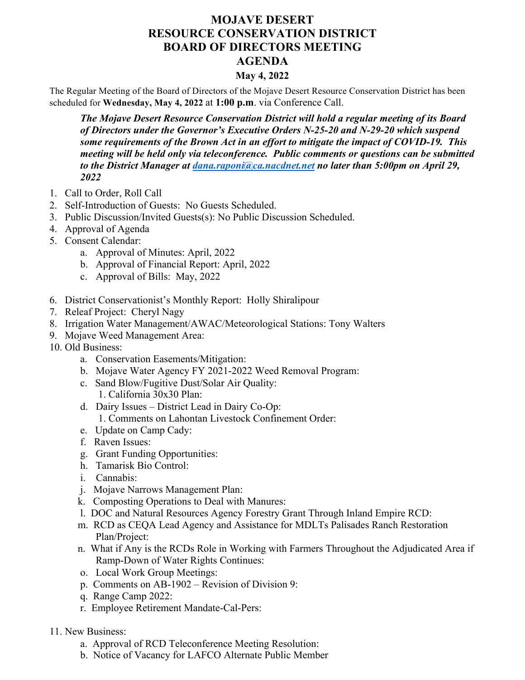## **MOJAVE DESERT RESOURCE CONSERVATION DISTRICT BOARD OF DIRECTORS MEETING AGENDA**

## **May 4, 2022**

The Regular Meeting of the Board of Directors of the Mojave Desert Resource Conservation District has been scheduled for **Wednesday, May 4, 2022** at **1:00 p.m**. via Conference Call.

*The Mojave Desert Resource Conservation District will hold a regular meeting of its Board of Directors under the Governor's Executive Orders N-25-20 and N-29-20 which suspend some requirements of the Brown Act in an effort to mitigate the impact of COVID-19. This meeting will be held only via teleconference. Public comments or questions can be submitted to the District Manager at dana.raponi@ca.nacdnet.net no later than 5:00pm on April 29, 2022*

- 1. Call to Order, Roll Call
- 2. Self-Introduction of Guests: No Guests Scheduled.
- 3. Public Discussion/Invited Guests(s): No Public Discussion Scheduled.
- 4. Approval of Agenda
- 5. Consent Calendar:
	- a. Approval of Minutes: April, 2022
	- b. Approval of Financial Report: April, 2022
	- c. Approval of Bills: May, 2022
- 6. District Conservationist's Monthly Report: Holly Shiralipour
- 7. Releaf Project: Cheryl Nagy
- 8. Irrigation Water Management/AWAC/Meteorological Stations: Tony Walters
- 9. Mojave Weed Management Area:
- 10. Old Business:
	- a. Conservation Easements/Mitigation:
	- b. Mojave Water Agency FY 2021-2022 Weed Removal Program:
	- c. Sand Blow/Fugitive Dust/Solar Air Quality: 1. California 30x30 Plan:
	- d. Dairy Issues District Lead in Dairy Co-Op: 1. Comments on Lahontan Livestock Confinement Order:
	- e. Update on Camp Cady:
	- f. Raven Issues:
	- g. Grant Funding Opportunities:
	- h. Tamarisk Bio Control:
	- i. Cannabis:
	- j. Mojave Narrows Management Plan:
	- k. Composting Operations to Deal with Manures:
	- l. DOC and Natural Resources Agency Forestry Grant Through Inland Empire RCD:
	- m. RCD as CEQA Lead Agency and Assistance for MDLTs Palisades Ranch Restoration Plan/Project:
	- n. What if Any is the RCDs Role in Working with Farmers Throughout the Adjudicated Area if Ramp-Down of Water Rights Continues:
	- o. Local Work Group Meetings:
	- p. Comments on AB-1902 Revision of Division 9:
	- q. Range Camp 2022:
	- r. Employee Retirement Mandate-Cal-Pers:
- 11. New Business:
	- a. Approval of RCD Teleconference Meeting Resolution:
	- b. Notice of Vacancy for LAFCO Alternate Public Member